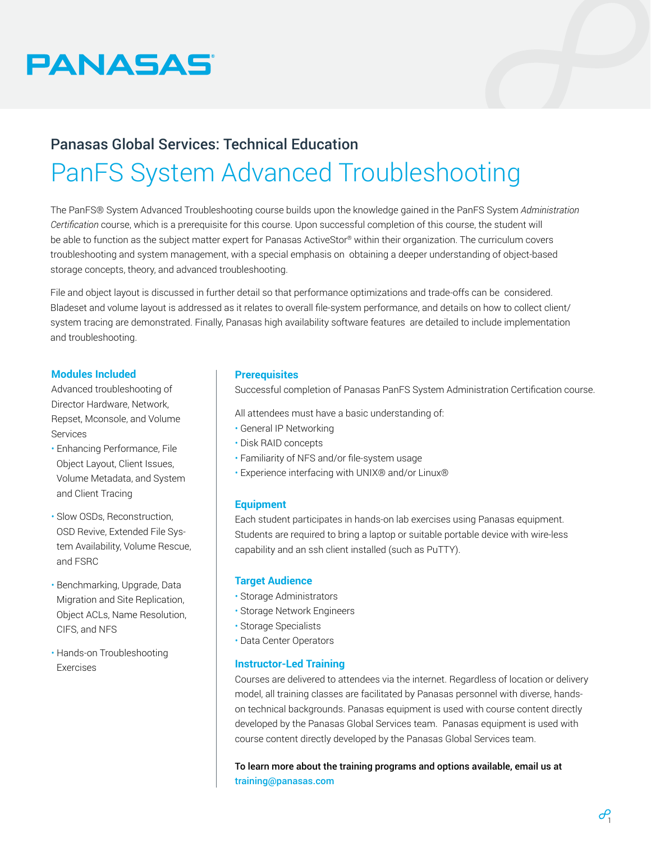

# Panasas Global Services: Technical Education PanFS System Advanced Troubleshooting

The PanFS® System Advanced Troubleshooting course builds upon the knowledge gained in the PanFS System *Administration Certification* course, which is a prerequisite for this course. Upon successful completion of this course, the student will be able to function as the subject matter expert for Panasas ActiveStor® within their organization. The curriculum covers troubleshooting and system management, with a special emphasis on obtaining a deeper understanding of object-based storage concepts, theory, and advanced troubleshooting.

File and object layout is discussed in further detail so that performance optimizations and trade-offs can be considered. Bladeset and volume layout is addressed as it relates to overall file-system performance, and details on how to collect client/ system tracing are demonstrated. Finally, Panasas high availability software features are detailed to include implementation and troubleshooting.

# **Modules Included**

Advanced troubleshooting of Director Hardware, Network, Repset, Mconsole, and Volume Services

- Enhancing Performance, File Object Layout, Client Issues, Volume Metadata, and System and Client Tracing
- Slow OSDs, Reconstruction, OSD Revive, Extended File System Availability, Volume Rescue, and FSRC
- Benchmarking, Upgrade, Data Migration and Site Replication, Object ACLs, Name Resolution, CIFS, and NFS
- Hands-on Troubleshooting Exercises

# **Prerequisites**

Successful completion of Panasas PanFS System Administration Certification course.

All attendees must have a basic understanding of:

- General IP Networking
- Disk RAID concepts
- Familiarity of NFS and/or file-system usage
- Experience interfacing with UNIX® and/or Linux®

#### **Equipment**

Each student participates in hands-on lab exercises using Panasas equipment. Students are required to bring a laptop or suitable portable device with wire-less capability and an ssh client installed (such as PuTTY).

#### **Target Audience**

- Storage Administrators
- Storage Network Engineers
- Storage Specialists
- Data Center Operators

# **Instructor-Led Training**

Courses are delivered to attendees via the internet. Regardless of location or delivery model, all training classes are facilitated by Panasas personnel with diverse, handson technical backgrounds. Panasas equipment is used with course content directly developed by the Panasas Global Services team. Panasas equipment is used with course content directly developed by the Panasas Global Services team.

To learn more about the training programs and options available, email us at [training@panasas.com](mailto:training%40panasas.com?subject=)